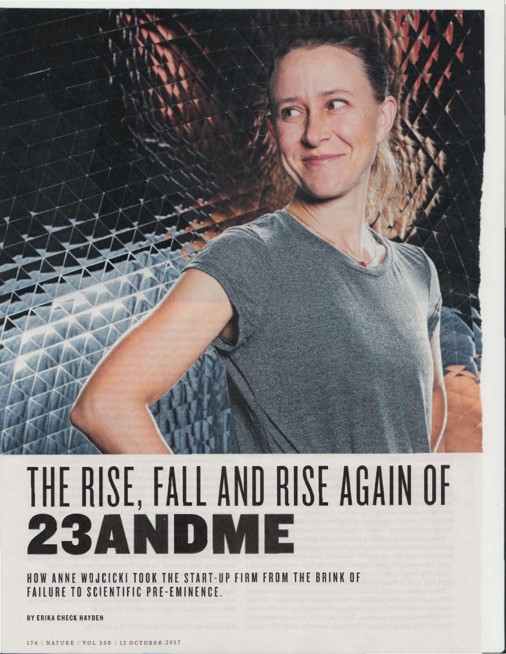

# THE RISE, FALL AND RISE AGAIN OF

HOW ANNE WOJCICKI TOOK THE START-UP FIRM FROM THE BRINK OF **FAILURE TO SCIENTIFIC PRE-EMINENCE.** 

**ERIKA CHECK HAYDEN**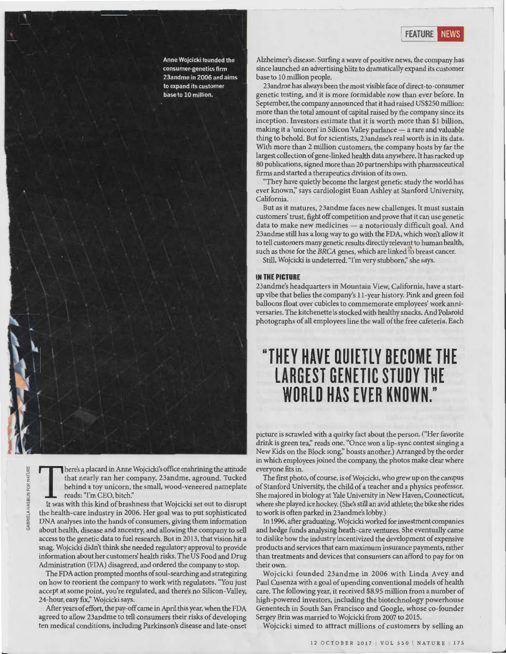- --·1

Anne Wojcicki founded the consumer-genetics firm 23andme in 2006 and aims to expand its customer base to 10 million.

VATURE  $\overline{O}R$ z ::>  $\overline{\alpha}$ ~ **GABRIE** 

T here's a placard in Anne Wojcicki's office enshrining the attitude that nearly ran her company, 23andme, aground. Tucked behind a toy unicorn, the small, wood-veneered nameplate reads: "I'm CEO, bitch."

It was with this kind of brashness that Wojcicki set out to disrupt the health-care industry in 2006. Her goal was to put sophisticated DNA analyses into the hands of consumers, giving them information about health, disease and ancestry, and allowing the company to sell access to the genetic data to fuel research. But in 2013, that vision hit a snag. Wojcicki didn't think she needed regulatory approval to provide information about her customers' health risks. The US Food and Drug Administration (FDA) disagreed, and ordered the company to stop.

The FDA action prompted months of soul-searching and strategizing on how to reorient the company to work with regulators. "You just accept at some point, you're regulated, and there's no Silicon-Valley, 24-hour, easy fix;' Wojcicki says.

After years of effort, the pay-off came in April this year, when the FDA agreed to allow 23andme to tell consumers their risks of developing ten medical conditions, including Parkinson's disease and late-onset Alzheimer's disease. Surfing a wave of positive news, the company has since launched an advertising blitz to dramatically expand its customer base to 10 million people.

23andme has always been the most visible face of direct-to-consumer genetic testing, and it is more formidable now than ever before. In September, the company announced that it had raised US\$250 million: more than the total amount of capital raised by the company since its inception. Investors estimate that it is worth more than \$1 billion, making it a 'unicorn' in Silicon Valley parlance — a rare and valuable thing to behold. But for scientists, 23andme's real worth is in its data. With more than 2 million customers, the company hosts by far the largest collection of gene-linked health data anywhere. It has racked up 80 publications, signed more than 20 partnerships with pharmaceutical firms and started a therapeutics division of its own.

"They have quietly become the largest genetic study the world has ever known;' says cardiologist Euan Ashley at Stanford University, California.

But as it matures, 23andme faces new challenges. It must sustain customers' trust, fight off competition and prove that it can use genetic data to make new medicines — a notoriously difficult goal. And 23andme still has a long way to go with the FDA, which won't allow it to tell customers many genetic results directly relevant to human health, such as those for the BRCA genes, which are linked to breast cancer.

Still, Wojcicki is undeterred. 'Tm very stubborn;' she says.

### **IN THE PICTURE**

23andme's headquarters in Mountain View, California, have a startup vibe that belies the company's 11 -year history. Pink and green foil balloons float over cubicles to commemorate employees' work anniversaries. The kitchenette is stocked with healthy snacks. And Polaroid photographs of all employees line the wall of the free cafeteria. Each

# **"THEY HAVE OUIETLY BECOME THE LARGEST GENETIC STUDY THE WORLD HAS EVER KNOWN."**

picture is scrawled with a quirky fact about the person. ("Her favorite drink is green tea;' reads one. "Once won a lip-sync contest singing a New Kids on the Block song;' boasts another.) Arranged by the order in which employees joined the company, the photos make clear where everyone fits in.

The first photo, of course, is of Wojcicki, who grew up on the campus of Stanford University, the child of a teacher and a physics professor. She majored in biology at Yale University in New Haven, Connecticut, where she played ice hockey. (She's still an avid athlete; the bike she rides to work is often parked in 23andme's lobby.)

In 1996, after graduating, Wojcicki worked for investment companies and hedge funds analysing heath-care ventures. She eventually came to dislike how the industry incentivized the development of expensive products and services that earn maximum insurance payments, rather than treatments and devices that consumers can afford to pay for on their own.

Wojcicki founded 23andme in 2006 with Linda Avey and Paul Cusenza with a goal of upending conventional models of health care. The following year, it received \$8.95 million from a number of high-powered investors, including the biotechnology powerhouse Genentech in South San Francisco and Google, whose co-founder Sergey Brin was married to Wojcicki from 2007 to 2015.

Wojcicki aimed to attract millions of customers by selling an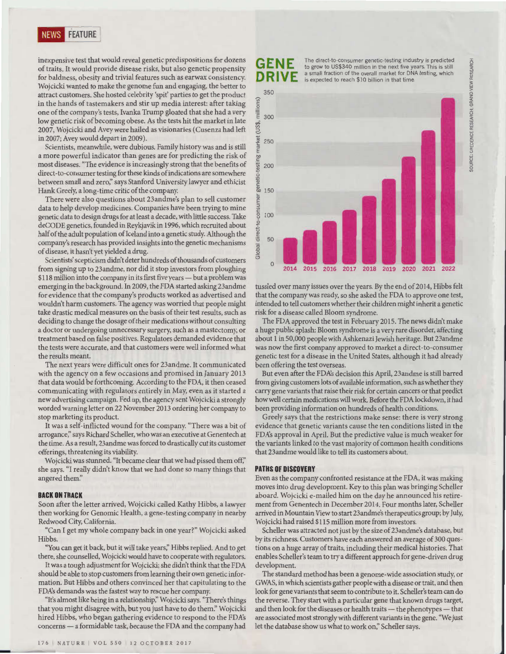inexpensive test that would reveal genetic predispositions for dozens of traits. It would provide disease risks, but also genetic propensity for baldness, obesity and trivial features such as earwax consistency. Wojcicki wanted to make the genome fun and engaging, the better to attract customers. She hosted celebrity 'spit' parties to get the product in the hands of tastemakers and stir up media interest: after taking one of the company's tests, Ivanka Trump gloated that she had a very low genetic risk of becoming obese. As the tests hit the market in late 2007, Wojcicki and Avey were hailed as visionaries (Cusenza had left in 2007; Avey would depart in 2009).

Scientists, meanwhile, were dubious. Family history was and is still a more powerful indicator than genes are for predicting the risk of most diseases. "The evidence is increasingly strong that the benefits of direct-to-consumer testing for these kinds of indications are somewhere between small and zero;' says Stanford University lawyer and ethicist Hank Greely, a long-time critic of the company.

There were also questions about 23andme's plan to sell customer data to help develop medicines. Companies have been trying to mine genetic data to design drugs for at least a decade, with little success. Take deCODE genetics, founded in Reykjavik in 1996, which recruited about half of the adult population of Iceland into a genetic study. Although the company's research has provided insights into the genetic mechanisms of disease, it hasn't yet yielded a drug.

Scientists' scepticism didn't deter hundreds of thousands of customers from signing up to 23andme, nor did it stop investors from ploughing \$118 million into the company in its first five years- but a problem was emerging in the background. In 2009, the FDA started asking 23andme for evidence that the company's products worked as advertised and wouldn't harm customers. The agency was worried that people might take drastic medical measures on the basis of their test results, such as deciding to change the dosage of their medications without consulting a doctor or undergoing unnecessary surgery, such as a mastectomy, or treatment based on false positives. Regulators demanded evidence that the tests were accurate, and that customers were well informed what the results meant.

The next years were difficult ones for 23andme. It communicated with the agency on a few occasions and promised in January 2013 that data would be forthcoming. According to the FDA, it then ceased communicating with regulators entirely in May, even as it started a new advertising campaign. Fed up, the agency sent Wojcicki a strongly worded warning letter on 22 November 2013 ordering her company to stop marketing its product.

It was a self-inflicted wound for the company. "There was a bit of arrogance;' says Richard Scheller, who was an executive at Genentech at the time. As a result, 23andme was forced to drastically cut its customer offerings, threatening its viability.

Wojcicki was stunned. "It became clear that we had pissed them off;' she says. "I really didn't know that we had done so many things that angered them:'

### **BACK ON TRACK**

Soon after the letter arrived, Wojcicki called Kathy Hibbs, a lawyer then working for Genomic Health, a gene-testing company in nearby Redwood City, California.

"Can I get my whole company back in one year?" Wojcicki asked Hibbs.

"You can get it back, but it will take years;' Hibbs replied. And to get there, she counselled, Wojcicki would have to cooperate with regulators.

It was a tough adjustment for Wojcicki; she didn't think that the FDA should be able to stop customers from learning their own genetic information. But Hibbs and others convinced her that capitulating to the FD A's demands was the fastest way to rescue her company.

"It's almost like being in a relationship;' Wojcicki says. "There's things that you might disagree with, but you just have to do them:' Wojcicki hired Hibbs, who began gathering evidence to respond to the FDA's concerns — a formidable task, because the FDA and the company had

## **GENE**  DRI

The direct-to-consumer genetic-testing industry is predicted to grow to US\$340 million in the next five years. This is still a small fraction of the overall market for DNA testing, which is expected to reach \$10 billion in that time.



tussled over many issues over the years. By the end of 2014, Hibbs felt that the company was ready, so she asked the FDA to approve one test, intended to tell customers whether their children might inherit a genetic risk for a disease called Bloom syndrome.

The FDA approved the test in February 2015. The news didn't make a huge public splash: Bloom syndrome is a very rare disorder, affecting about 1 in 50,000 people with Ashkenazi Jewish heritage. But 23andme was now the first company approved to market a direct-to-consumer genetic test for a disease in the United States, although it had already been offering the test overseas.

But even after the FDA's decision this April, 23andme is still barred from giving customers lots of available information, such as whether they carry gene variants that raise their risk for certain cancers or that predict how well certain medications will work. Before the FDA lockdown, it had been providing information on hundreds of health conditions.

Greely says that the restrictions make sense: there is very strong evidence that genetic variants cause the ten conditions listed in the FD A's approval in April. But the predictive value is much weaker for the variants linked to the vast majority of common health conditions that 23andme would like to tell its customers about.

### **PATHS OF DISCOVERY**

Even as the company confronted resistance at the FDA, it was making moves into drug development. Key to this plan was bringing Scheller aboard. Wojcicki e-mailed him on the day he announced his retirement from Genentech in December 2014. Four months later, Scheller arrived in Mountain View to start 23andme's therapeutics group; by July, Wojcicki had raised \$115 million more from investors.

Scheller was attracted not just by the size of 23andme's database, but by its richness. Customers have each answered an average of 300 questions on a huge array of traits, including their medical histories. That enables Scheller's team to try a different approach for gene-driven drug development.

The standard method has been a genome-wide association study, or GWAS, in which scientists gather people with a disease or trait, and then look for gene variants that seem to contribute to it. Scheller's team can do the reverse. They start with a particular gene that known drugs target, and then look for the diseases or health traits — the phenotypes — that are associated most strongly with different variants in the gene. "We just let the database show us what to work on;' Scheller says.